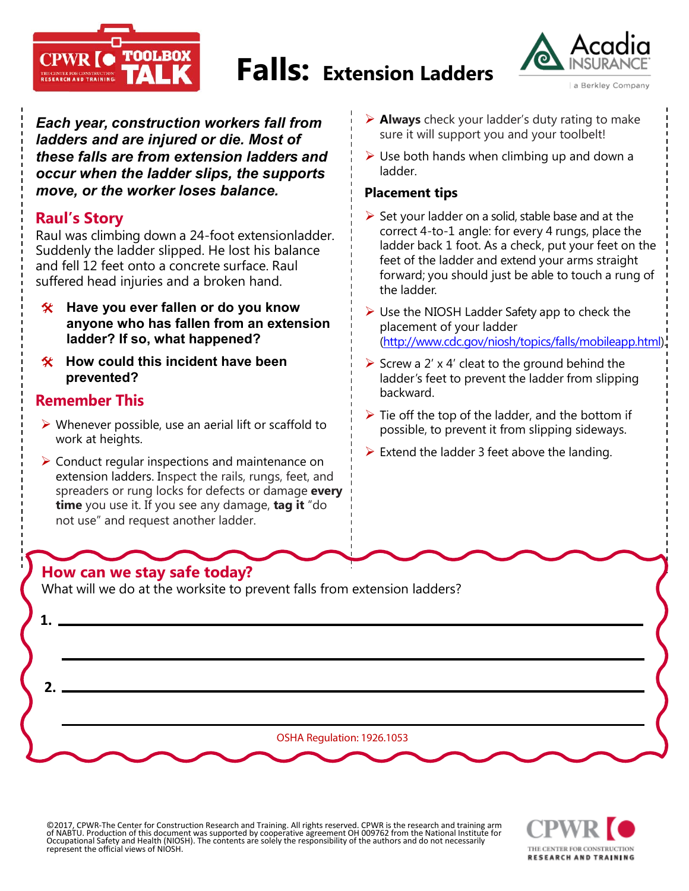

# **Falls: Extension Ladders**



*Each year, construction workers fall from ladders and are injured or die. Most of these falls are from extension ladders and occur when the ladder slips, the supports move, or the worker loses balance.* 

## **Raul's Story**

Raul was climbing down a 24-foot extensionladder. Suddenly the ladder slipped. He lost his balance and fell 12 feet onto a concrete surface. Raul suffered head injuries and a broken hand.

- **Have you ever fallen or do you know anyone who has fallen from an extension ladder? If so, what happened?**
- **How could this incident have been prevented?**

### **Remember This**

- $\triangleright$  Whenever possible, use an aerial lift or scaffold to work at heights.
- $\triangleright$  Conduct regular inspections and maintenance on extension ladders. Inspect the rails, rungs, feet, and spreaders or rung locks for defects or damage **every time** you use it. If you see any damage, **tag it** "do not use" and request another ladder.

# **How can we stay safe today?**

What will we do at the worksite to prevent falls from extension ladders?

OSHA Regulation: 1926.1053 **1. 2.**

©2017, CPWR-The Center for Construction Research and Training. All rights reserved. CPWR is the research and training arm of NABTU. Production of this document was supported by cooperative agreement OH 009762 from the National Institute for<br>Occupational Safety and Health (NIOSH). The contents are solely the responsibility of the authors and d represent the official views of NIOSH.



- **Always** check your ladder's duty rating to make sure it will support you and your toolbelt!
- $\triangleright$  Use both hands when climbing up and down a ladder.

#### **Placement tips**

- $\triangleright$  Set your ladder on a solid, stable base and at the correct 4-to-1 angle: for every 4 rungs, place the ladder back 1 foot. As a check, put your feet on the feet of the ladder and extend your arms straight forward; you should just be able to touch a rung of the ladder.
- $\triangleright$  Use the NIOSH Ladder Safety app to check the placement of your ladder [\(http://www.cdc.gov/niosh/topics/falls/mobileapp.html\)](http://www.cdc.gov/niosh/topics/falls/mobileapp.html).
- $\triangleright$  Screw a 2' x 4' cleat to the ground behind the ladder's feet to prevent the ladder from slipping backward.
- $\triangleright$  Tie off the top of the ladder, and the bottom if possible, to prevent it from slipping sideways.
- $\triangleright$  Extend the ladder 3 feet above the landing.